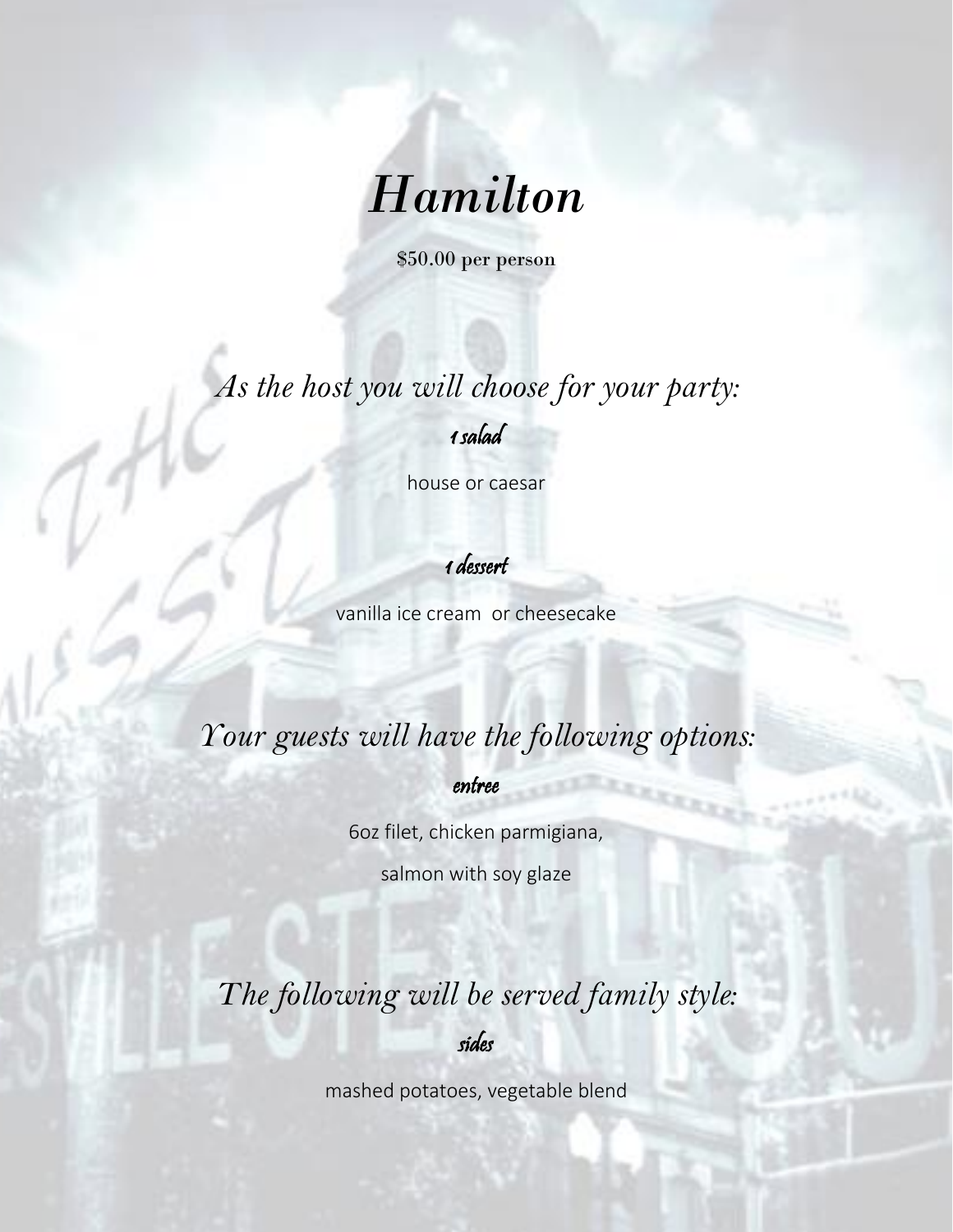# *Hamilton*

\$50.00 per person

*As the host you will choose for your party:* 

1 salad

house or caesar

1 dessert

vanilla ice cream or cheesecake

## *Your guests will have the following options:*

entree

6oz filet, chicken parmigiana,

salmon with soy glaze

*The following will be served family style:* 

sides

mashed potatoes, vegetable blend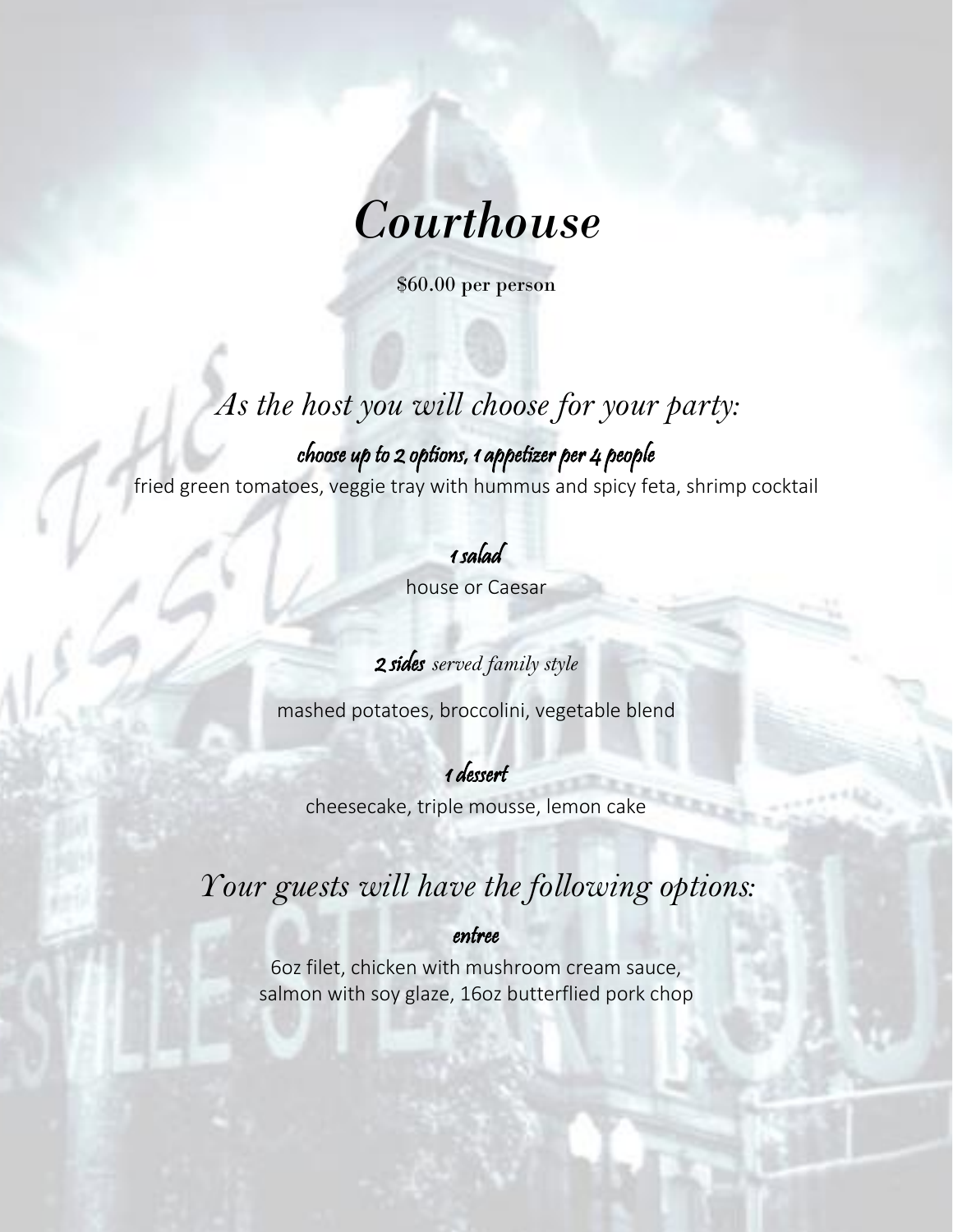

\$60.00 per person

## *As the host you will choose for your party:*

choose up to 2 options, 1 appetizer per 4 people fried green tomatoes, veggie tray with hummus and spicy feta, shrimp cocktail

1 salad

house or Caesar

2 sides *served family style*

mashed potatoes, broccolini, vegetable blend

1 dessert cheesecake, triple mousse, lemon cake

## *Your guests will have the following options:*

entree

6oz filet, chicken with mushroom cream sauce, salmon with soy glaze, 16oz butterflied pork chop